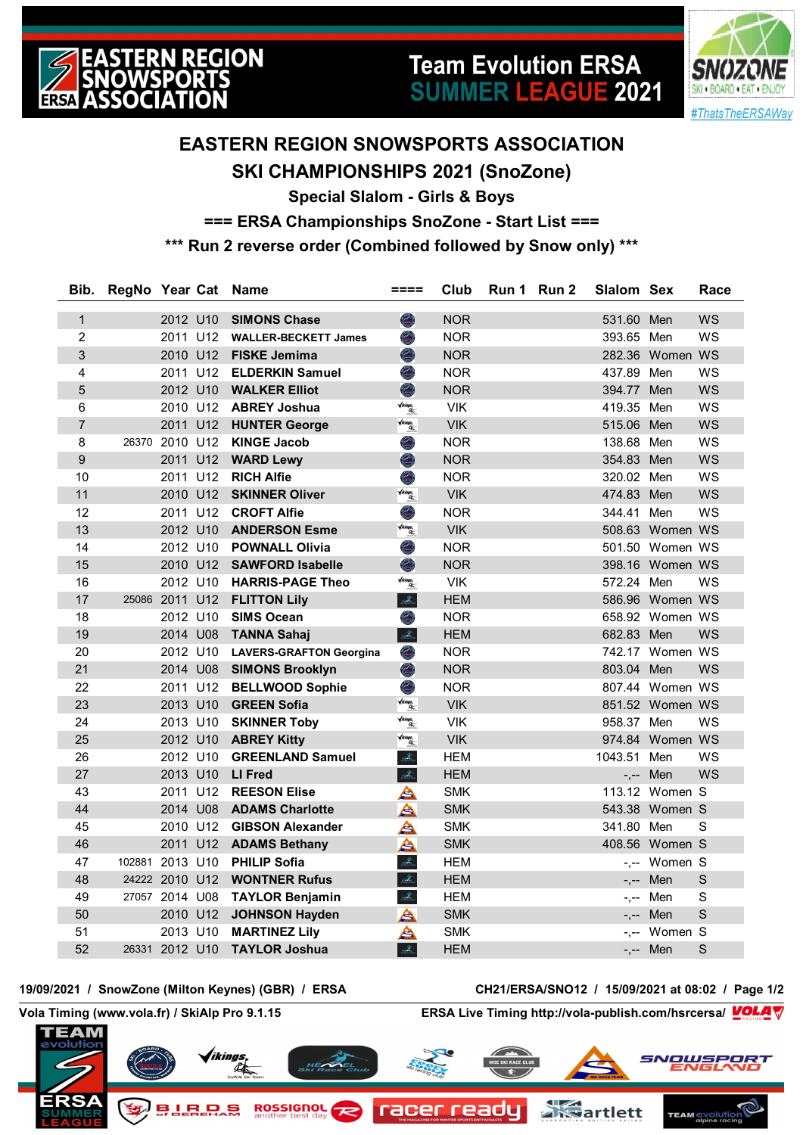

# **Team Evolution ERSA SUMMER LEAGUE 2021**



## **EASTERN REGION SNOWSPORTS ASSOCIATION SKI CHAMPIONSHIPS 2021 (SnoZone)**

**Special Slalom - Girls & Boys**

**=== ERSA Championships SnoZone - Start List ===**

**\*\*\* Run 2 reverse order (Combined followed by Snow only) \*\*\***

| Bib.           | RegNo Year Cat Name |                |          |                                  | ====                                        | Club       | Run 1 Run 2 | Slalom Sex |                 | Race         |
|----------------|---------------------|----------------|----------|----------------------------------|---------------------------------------------|------------|-------------|------------|-----------------|--------------|
| $\mathbf{1}$   |                     |                |          | 2012 U10 SIMONS Chase            | $\bigcirc$                                  | <b>NOR</b> |             | 531.60 Men |                 | <b>WS</b>    |
| $\overline{c}$ |                     |                |          | 2011 U12 WALLER-BECKETT James    | O                                           | <b>NOR</b> |             | 393.65 Men |                 | WS           |
| 3              |                     |                |          | 2010 U12 FISKE Jemima            | O                                           | <b>NOR</b> |             |            | 282.36 Women WS |              |
| 4              |                     |                |          | 2011 U12 ELDERKIN Samuel         | O                                           | <b>NOR</b> |             | 437.89 Men |                 | WS           |
| 5              |                     |                |          | 2012 U10 WALKER Elliot           | $\bigcirc$                                  | <b>NOR</b> |             | 394.77 Men |                 | <b>WS</b>    |
| 6              |                     |                | 2010 U12 | <b>ABREY Joshua</b>              | <b>Vikings.</b><br>Alim                     | <b>VIK</b> |             | 419.35 Men |                 | WS           |
| $\overline{7}$ |                     |                |          | 2011 U12 HUNTER George           | $\sqrt{ikings}$                             | <b>VIK</b> |             | 515.06 Men |                 | <b>WS</b>    |
| 8              |                     | 26370 2010 U12 |          | <b>KINGE Jacob</b>               | O                                           | <b>NOR</b> |             | 138.68 Men |                 | WS           |
| 9              |                     |                | 2011 U12 | <b>WARD Lewy</b>                 | O                                           | <b>NOR</b> |             | 354.83 Men |                 | WS           |
| 10             |                     |                | 2011 U12 | <b>RICH Alfie</b>                | Ô,                                          | <b>NOR</b> |             | 320.02 Men |                 | WS           |
| 11             |                     |                | 2010 U12 | <b>SKINNER Oliver</b>            | $\sqrt{ikings}$                             | <b>VIK</b> |             | 474.83 Men |                 | WS           |
| 12             |                     |                | 2011 U12 | <b>CROFT Alfie</b>               | O                                           | <b>NOR</b> |             | 344.41 Men |                 | WS           |
| 13             |                     | 2012 U10       |          | <b>ANDERSON Esme</b>             | $\sqrt{ikings}$                             | <b>VIK</b> |             |            | 508.63 Women WS |              |
| 14             |                     |                | 2012 U10 | <b>POWNALL Olivia</b>            | O                                           | <b>NOR</b> |             |            | 501.50 Women WS |              |
| 15             |                     |                | 2010 U12 | <b>SAWFORD Isabelle</b>          | O                                           | <b>NOR</b> |             |            | 398.16 Women WS |              |
| 16             |                     |                | 2012 U10 | <b>HARRIS-PAGE Theo</b>          | <b>Vikings.</b><br>Alim                     | <b>VIK</b> |             | 572.24 Men |                 | WS           |
| 17             |                     | 25086 2011 U12 |          | <b>FLITTON Lily</b>              | $\mathcal{A}_{\omega}$                      | <b>HEM</b> |             |            | 586.96 Women WS |              |
| 18             |                     |                |          | 2012 U10 SIMS Ocean              | O                                           | <b>NOR</b> |             |            | 658.92 Women WS |              |
| 19             |                     |                |          | 2014 U08 TANNA Sahaj             | $\mathcal{A}_{\mathbb{Z}}$                  | <b>HEM</b> |             | 682.83 Men |                 | <b>WS</b>    |
| 20             |                     |                |          | 2012 U10 LAVERS-GRAFTON Georgina | O                                           | <b>NOR</b> |             |            | 742.17 Women WS |              |
| 21             |                     |                |          | 2014 U08 SIMONS Brooklyn         | O                                           | <b>NOR</b> |             | 803.04 Men |                 | <b>WS</b>    |
| 22             |                     |                |          | 2011 U12 BELLWOOD Sophie         | O                                           | <b>NOR</b> |             |            | 807.44 Women WS |              |
| 23             |                     |                |          | 2013 U10 GREEN Sofia             | $\sqrt{i\hbar i ngs}$                       | <b>VIK</b> |             |            | 851.52 Women WS |              |
| 24             |                     |                |          | 2013 U10 SKINNER Toby            | <b>Vikings.</b><br>Alim                     | <b>VIK</b> |             | 958.37 Men |                 | WS           |
| 25             |                     |                |          | 2012 U10 ABREY Kitty             | $\sqrt{i\hbar i ngs}$                       | <b>VIK</b> |             |            | 974.84 Women WS |              |
| 26             |                     | 2012 U10       |          | <b>GREENLAND Samuel</b>          | $\frac{\Delta}{2\Delta t_{\rm obs}}$        | <b>HEM</b> |             | 1043.51    | Men             | <b>WS</b>    |
| 27             |                     | 2013 U10       |          | LI Fred                          | $\mathcal{A}_{\mathbb{Z}}$                  | <b>HEM</b> |             |            | -,-- Men        | <b>WS</b>    |
| 43             |                     | 2011 U12       |          | <b>REESON Elise</b>              | ≜                                           | <b>SMK</b> |             |            | 113.12 Women S  |              |
| 44             |                     | 2014 U08       |          | <b>ADAMS Charlotte</b>           | A                                           | <b>SMK</b> |             |            | 543.38 Women S  |              |
| 45             |                     |                | 2010 U12 | <b>GIBSON Alexander</b>          | A                                           | <b>SMK</b> |             | 341.80 Men |                 | S            |
| 46             |                     |                |          | 2011 U12 ADAMS Bethany           | A                                           | <b>SMK</b> |             |            | 408.56 Women S  |              |
| 47             | 102881              | 2013 U10       |          | <b>PHILIP Sofia</b>              | $\frac{\partial}{\partial m_{\alpha\beta}}$ | <b>HEM</b> |             |            | -,-- Women S    |              |
| 48             |                     | 24222 2010 U12 |          | <b>WONTNER Rufus</b>             | $\mathcal{A}_{\scriptscriptstyle\! L}$      | <b>HEM</b> |             | -,--       | Men             | S            |
| 49             |                     | 27057 2014 U08 |          | <b>TAYLOR Benjamin</b>           | $\mathcal{A}_{\mathbb{Z}}$                  | <b>HEM</b> |             | $-,--$     | Men             | $\mathbf S$  |
| 50             |                     | 2010 U12       |          | <b>JOHNSON Hayden</b>            | A                                           | <b>SMK</b> |             | $-,--$     | Men             | $\mathsf{S}$ |
| 51             |                     | 2013 U10       |          | <b>MARTINEZ Lily</b>             | A                                           | <b>SMK</b> |             |            | -,-- Women S    |              |
| 52             |                     | 26331 2012 U10 |          | <b>TAYLOR Joshua</b>             | $\hat{A}_{\rm in}$                          | <b>HEM</b> |             |            | -,-- Men        | S            |

**19/09/2021 / SnowZone (Milton Keynes) (GBR) / ERSA CH21/ERSA/SNO12 / 15/09/2021 at 08:02 / Page 1/2**

**Vola Timing (www.vola.fr) / SkiAlp Pro 9.1.15 ERSA Live Timing http://vola-publish.com/hsrcersa/**

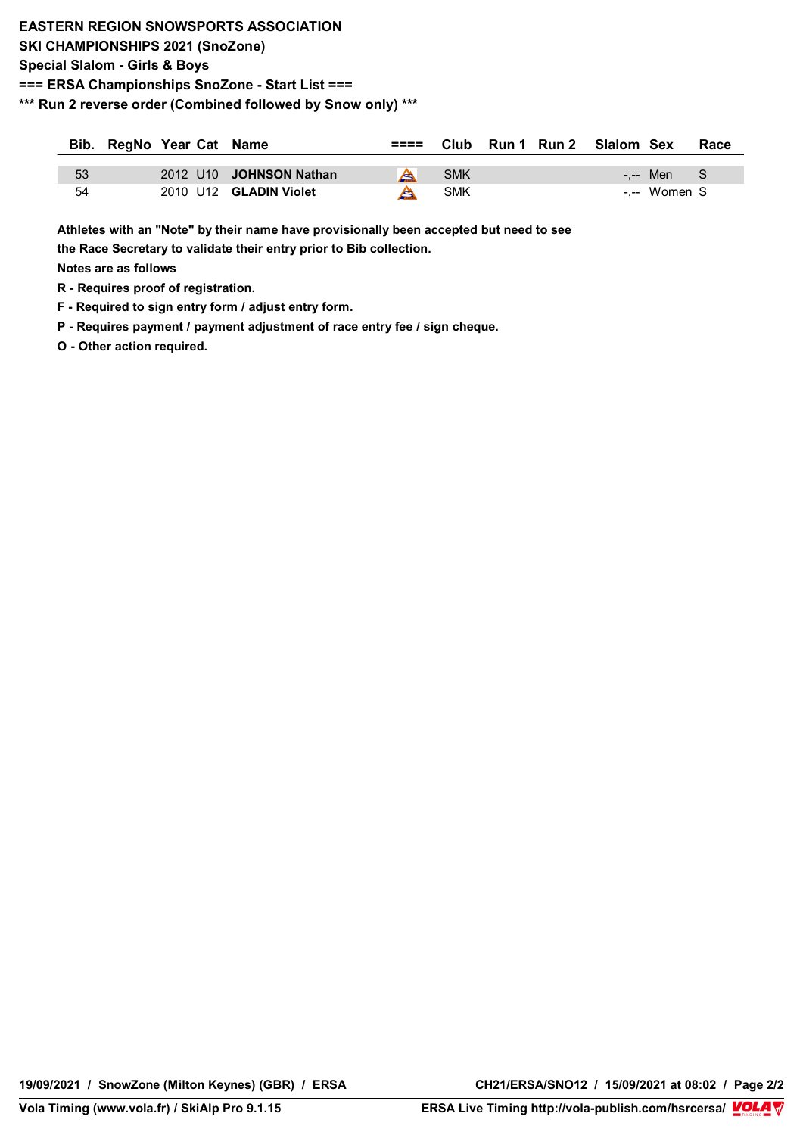### **EASTERN REGION SNOWSPORTS ASSOCIATION SKI CHAMPIONSHIPS 2021 (SnoZone) Special Slalom - Girls & Boys === ERSA Championships SnoZone - Start List === \*\*\* Run 2 reverse order (Combined followed by Snow only) \*\*\***

|    | Bib. RegNo Year Cat Name |                         |   |     |  | $== $ Club Run 1 Run 2 Slalom Sex |              | Race |
|----|--------------------------|-------------------------|---|-----|--|-----------------------------------|--------------|------|
| 53 |                          | 2012 U10 JOHNSON Nathan | A | SMK |  |                                   | -.-- Men S   |      |
| 54 |                          | 2010 U12 GLADIN Violet  |   | SMK |  |                                   | -.-- Women S |      |

**Athletes with an "Note" by their name have provisionally been accepted but need to see** 

**the Race Secretary to validate their entry prior to Bib collection.** 

**Notes are as follows**

- **R Requires proof of registration.**
- **F Required to sign entry form / adjust entry form.**
- **P Requires payment / payment adjustment of race entry fee / sign cheque.**

**O - Other action required.**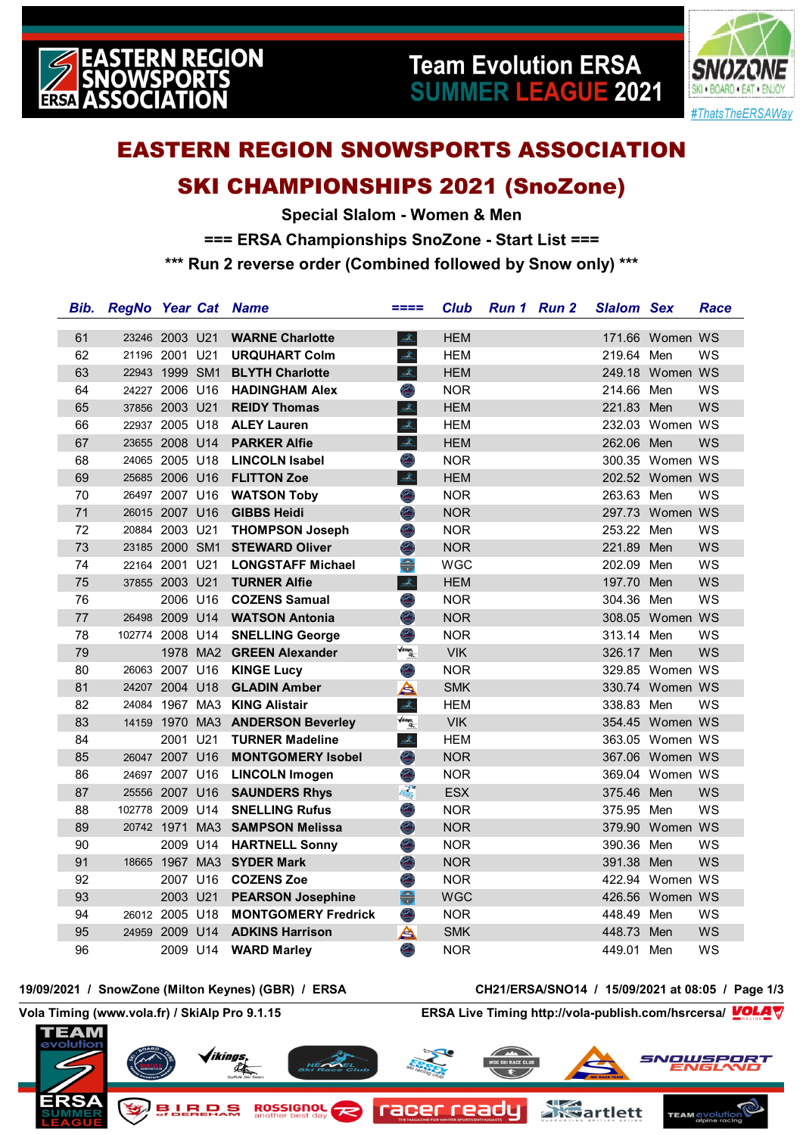

# **Team Evolution ERSA SUMMER LEAGUE 2021**



# **EASTERN REGION SNOWSPORTS ASSOCIATION**

## **SKI CHAMPIONSHIPS 2021 (SnoZone)**

**Special Slalom - Women & Men === ERSA Championships SnoZone - Start List === \*\*\* Run 2 reverse order (Combined followed by Snow only) \*\*\***

| Bib. | <b>RegNo Year Cat Name</b> |                |          |                                  | ====                                                                                                                                                                                                                                                                                                                                                                                                                                                                                                                                                                                                                                                                                     | <b>Club</b> | Run 1 Run 2 | <b>Slalom Sex</b> |                 | Race      |
|------|----------------------------|----------------|----------|----------------------------------|------------------------------------------------------------------------------------------------------------------------------------------------------------------------------------------------------------------------------------------------------------------------------------------------------------------------------------------------------------------------------------------------------------------------------------------------------------------------------------------------------------------------------------------------------------------------------------------------------------------------------------------------------------------------------------------|-------------|-------------|-------------------|-----------------|-----------|
| 61   |                            | 23246 2003 U21 |          | <b>WARNE Charlotte</b>           | $\mathcal{A}_\text{m}$                                                                                                                                                                                                                                                                                                                                                                                                                                                                                                                                                                                                                                                                   | <b>HEM</b>  |             |                   | 171.66 Women WS |           |
| 62   |                            | 21196 2001 U21 |          | <b>URQUHART Colm</b>             | $\mathcal{A}_\text{a}$                                                                                                                                                                                                                                                                                                                                                                                                                                                                                                                                                                                                                                                                   | <b>HEM</b>  |             | 219.64 Men        |                 | WS        |
| 63   |                            | 22943 1999 SM1 |          | <b>BLYTH Charlotte</b>           | $\frac{\partial}{\partial \mathcal{A}_{\text{lin}}}$                                                                                                                                                                                                                                                                                                                                                                                                                                                                                                                                                                                                                                     | <b>HEM</b>  |             |                   | 249.18 Women WS |           |
| 64   |                            | 24227 2006 U16 |          | <b>HADINGHAM Alex</b>            | O                                                                                                                                                                                                                                                                                                                                                                                                                                                                                                                                                                                                                                                                                        | <b>NOR</b>  |             | 214.66 Men        |                 | WS        |
| 65   |                            | 37856 2003 U21 |          | <b>REIDY Thomas</b>              | $\mathcal{A}_\text{b}$                                                                                                                                                                                                                                                                                                                                                                                                                                                                                                                                                                                                                                                                   | <b>HEM</b>  |             | 221.83 Men        |                 | WS        |
| 66   |                            | 22937 2005 U18 |          | <b>ALEY Lauren</b>               | $\frac{\partial}{\partial x_{\alpha}}\frac{\partial}{\partial y_{\alpha}}\frac{\partial}{\partial x_{\alpha}}\frac{\partial}{\partial y_{\alpha}}\frac{\partial}{\partial y_{\alpha}}\frac{\partial}{\partial y_{\alpha}}\frac{\partial}{\partial y_{\alpha}}\frac{\partial}{\partial y_{\alpha}}\frac{\partial}{\partial y_{\alpha}}\frac{\partial}{\partial y_{\alpha}}\frac{\partial}{\partial y_{\alpha}}\frac{\partial}{\partial y_{\alpha}}\frac{\partial}{\partial y_{\alpha}}\frac{\partial}{\partial y_{\alpha}}\frac{\partial}{\partial y_{\alpha}}\frac{\partial}{\partial y_{\alpha}}\frac{\partial}{\partial y_{\alpha}}\frac{\partial}{\partial y_{\alpha}}\frac{\partial$ | <b>HEM</b>  |             |                   | 232.03 Women WS |           |
| 67   |                            | 23655 2008 U14 |          | <b>PARKER Alfie</b>              | $\frac{\partial}{\partial \mathbf{z}^{(0)}_{\text{max}}}$                                                                                                                                                                                                                                                                                                                                                                                                                                                                                                                                                                                                                                | <b>HEM</b>  |             | 262.06 Men        |                 | <b>WS</b> |
| 68   |                            | 24065 2005 U18 |          | <b>LINCOLN Isabel</b>            | O                                                                                                                                                                                                                                                                                                                                                                                                                                                                                                                                                                                                                                                                                        | <b>NOR</b>  |             |                   | 300.35 Women WS |           |
| 69   |                            | 25685 2006 U16 |          | <b>FLITTON Zoe</b>               | $\mathcal{A}_{\rm s}$                                                                                                                                                                                                                                                                                                                                                                                                                                                                                                                                                                                                                                                                    | <b>HEM</b>  |             |                   | 202.52 Women WS |           |
| 70   |                            | 26497 2007 U16 |          | <b>WATSON Toby</b>               | Ô                                                                                                                                                                                                                                                                                                                                                                                                                                                                                                                                                                                                                                                                                        | <b>NOR</b>  |             | 263.63 Men        |                 | WS        |
| 71   |                            | 26015 2007 U16 |          | <b>GIBBS Heidi</b>               | O                                                                                                                                                                                                                                                                                                                                                                                                                                                                                                                                                                                                                                                                                        | <b>NOR</b>  |             |                   | 297.73 Women WS |           |
| 72   |                            | 20884 2003 U21 |          | <b>THOMPSON Joseph</b>           | O                                                                                                                                                                                                                                                                                                                                                                                                                                                                                                                                                                                                                                                                                        | <b>NOR</b>  |             | 253.22 Men        |                 | WS        |
| 73   |                            | 23185 2000 SM1 |          | <b>STEWARD Oliver</b>            | O                                                                                                                                                                                                                                                                                                                                                                                                                                                                                                                                                                                                                                                                                        | <b>NOR</b>  |             | 221.89 Men        |                 | WS        |
| 74   |                            | 22164 2001 U21 |          | <b>LONGSTAFF Michael</b>         |                                                                                                                                                                                                                                                                                                                                                                                                                                                                                                                                                                                                                                                                                          | <b>WGC</b>  |             | 202.09 Men        |                 | WS        |
| 75   |                            | 37855 2003 U21 |          | <b>TURNER Alfie</b>              | $\frac{\partial}{\partial \Omega_{\text{in}}}$                                                                                                                                                                                                                                                                                                                                                                                                                                                                                                                                                                                                                                           | <b>HEM</b>  |             | 197.70 Men        |                 | WS        |
| 76   |                            | 2006 U16       |          | <b>COZENS Samual</b>             | Ó                                                                                                                                                                                                                                                                                                                                                                                                                                                                                                                                                                                                                                                                                        | <b>NOR</b>  |             | 304.36 Men        |                 | WS        |
| 77   |                            | 26498 2009 U14 |          | <b>WATSON Antonia</b>            | O                                                                                                                                                                                                                                                                                                                                                                                                                                                                                                                                                                                                                                                                                        | <b>NOR</b>  |             |                   | 308.05 Women WS |           |
| 78   | 102774 2008 U14            |                |          | <b>SNELLING George</b>           | Ô                                                                                                                                                                                                                                                                                                                                                                                                                                                                                                                                                                                                                                                                                        | <b>NOR</b>  |             | 313.14 Men        |                 | WS        |
| 79   |                            |                |          | 1978 MA2 GREEN Alexander         | $\sqrt{i\hbar i \hbar g s}$                                                                                                                                                                                                                                                                                                                                                                                                                                                                                                                                                                                                                                                              | <b>VIK</b>  |             | 326.17 Men        |                 | <b>WS</b> |
| 80   |                            | 26063 2007 U16 |          | <b>KINGE Lucy</b>                | O                                                                                                                                                                                                                                                                                                                                                                                                                                                                                                                                                                                                                                                                                        | <b>NOR</b>  |             |                   | 329.85 Women WS |           |
| 81   |                            |                |          | 24207 2004 U18 GLADIN Amber      | A                                                                                                                                                                                                                                                                                                                                                                                                                                                                                                                                                                                                                                                                                        | <b>SMK</b>  |             |                   | 330.74 Women WS |           |
| 82   |                            |                |          | 24084 1967 MA3 KING Alistair     | $\frac{\partial}{\partial \Omega_{\text{in}}}$                                                                                                                                                                                                                                                                                                                                                                                                                                                                                                                                                                                                                                           | <b>HEM</b>  |             | 338.83 Men        |                 | WS        |
| 83   |                            |                |          | 14159 1970 MA3 ANDERSON Beverley | $\sqrt{i\hbar i \text{ags}}$                                                                                                                                                                                                                                                                                                                                                                                                                                                                                                                                                                                                                                                             | <b>VIK</b>  |             |                   | 354.45 Women WS |           |
| 84   |                            | 2001 U21       |          | <b>TURNER Madeline</b>           | $\frac{\partial}{\partial \mathcal{A}_{\text{lin}}}$                                                                                                                                                                                                                                                                                                                                                                                                                                                                                                                                                                                                                                     | <b>HEM</b>  |             |                   | 363.05 Women WS |           |
| 85   |                            | 26047 2007 U16 |          | <b>MONTGOMERY Isobel</b>         | $\bigcirc$                                                                                                                                                                                                                                                                                                                                                                                                                                                                                                                                                                                                                                                                               | <b>NOR</b>  |             |                   | 367.06 Women WS |           |
| 86   |                            | 24697 2007 U16 |          | <b>LINCOLN Imogen</b>            | O                                                                                                                                                                                                                                                                                                                                                                                                                                                                                                                                                                                                                                                                                        | <b>NOR</b>  |             |                   | 369.04 Women WS |           |
| 87   |                            | 25556 2007 U16 |          | <b>SAUNDERS Rhys</b>             | 尾海                                                                                                                                                                                                                                                                                                                                                                                                                                                                                                                                                                                                                                                                                       | <b>ESX</b>  |             | 375.46 Men        |                 | <b>WS</b> |
| 88   | 102778 2009 U14            |                |          | <b>SNELLING Rufus</b>            | Ó                                                                                                                                                                                                                                                                                                                                                                                                                                                                                                                                                                                                                                                                                        | <b>NOR</b>  |             | 375.95 Men        |                 | WS        |
| 89   |                            |                |          | 20742 1971 MA3 SAMPSON Melissa   | $\bigcirc$                                                                                                                                                                                                                                                                                                                                                                                                                                                                                                                                                                                                                                                                               | <b>NOR</b>  |             |                   | 379.90 Women WS |           |
| 90   |                            |                | 2009 U14 | <b>HARTNELL Sonny</b>            | O                                                                                                                                                                                                                                                                                                                                                                                                                                                                                                                                                                                                                                                                                        | <b>NOR</b>  |             | 390.36 Men        |                 | ws        |
| 91   |                            |                |          | 18665 1967 MA3 SYDER Mark        | O                                                                                                                                                                                                                                                                                                                                                                                                                                                                                                                                                                                                                                                                                        | <b>NOR</b>  |             | 391.38            | Men             | <b>WS</b> |
| 92   |                            | 2007 U16       |          | <b>COZENS Zoe</b>                | O                                                                                                                                                                                                                                                                                                                                                                                                                                                                                                                                                                                                                                                                                        | <b>NOR</b>  |             |                   | 422.94 Women WS |           |
| 93   |                            | 2003 U21       |          | <b>PEARSON Josephine</b>         | €                                                                                                                                                                                                                                                                                                                                                                                                                                                                                                                                                                                                                                                                                        | <b>WGC</b>  |             |                   | 426.56 Women WS |           |
| 94   |                            | 26012 2005 U18 |          | <b>MONTGOMERY Fredrick</b>       | O                                                                                                                                                                                                                                                                                                                                                                                                                                                                                                                                                                                                                                                                                        | <b>NOR</b>  |             | 448.49            | Men             | WS        |
| 95   | 24959                      | 2009 U14       |          | <b>ADKINS Harrison</b>           | A                                                                                                                                                                                                                                                                                                                                                                                                                                                                                                                                                                                                                                                                                        | <b>SMK</b>  |             | 448.73            | Men             | WS        |
| 96   |                            |                | 2009 U14 | <b>WARD Marley</b>               | O                                                                                                                                                                                                                                                                                                                                                                                                                                                                                                                                                                                                                                                                                        | <b>NOR</b>  |             | 449.01            | Men             | WS        |

#### **19/09/2021 / SnowZone (Milton Keynes) (GBR) / ERSA CH21/ERSA/SNO14 / 15/09/2021 at 08:05 / Page 1/3**

**Vola Timing (www.vola.fr) / SkiAlp Pro 9.1.15 ERSA Live Timing http://vola-publish.com/hsrcersa/**

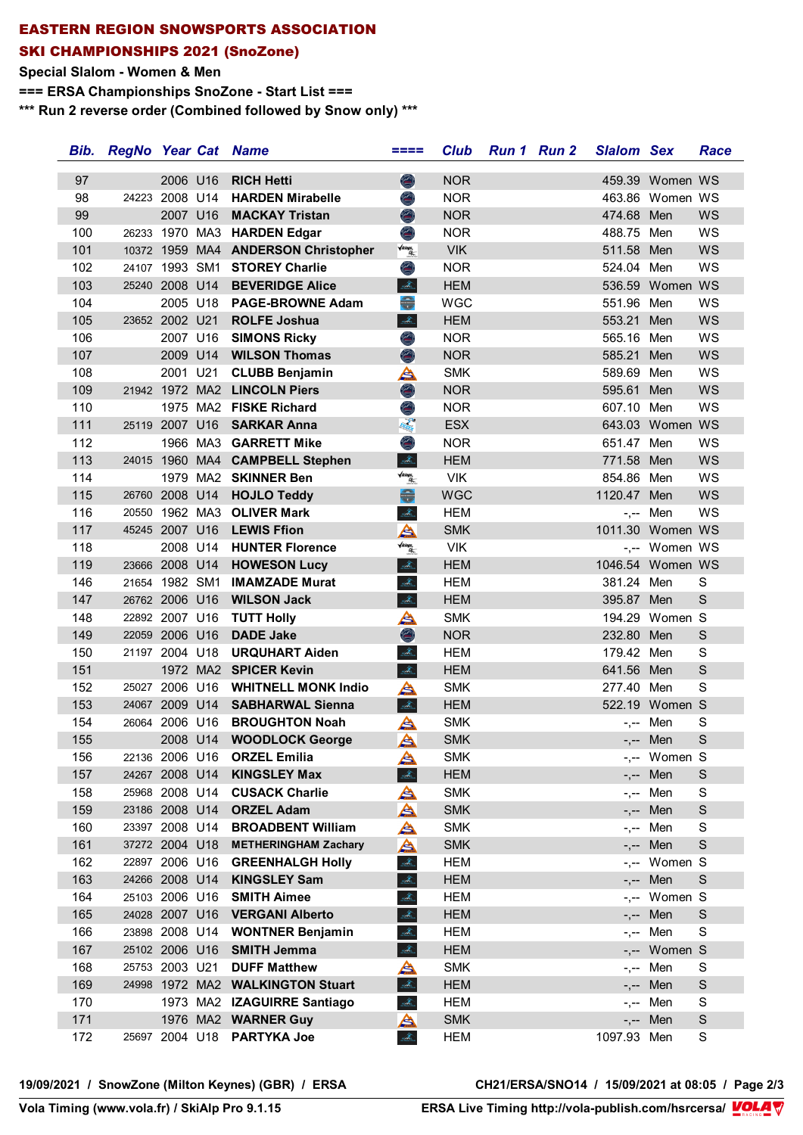### **EASTERN REGION SNOWSPORTS ASSOCIATION SKI CHAMPIONSHIPS 2021 (SnoZone)**

#### **Special Slalom - Women & Men**

**=== ERSA Championships SnoZone - Start List ===**

**\*\*\* Run 2 reverse order (Combined followed by Snow only) \*\*\***

| Bib.       | <b>RegNo Year Cat Name</b> |                                  |          |                                                    | $====$                                               | <b>Club</b> | Run 1 Run 2 | <b>Slalom Sex</b> |                     | Race             |
|------------|----------------------------|----------------------------------|----------|----------------------------------------------------|------------------------------------------------------|-------------|-------------|-------------------|---------------------|------------------|
| 97         |                            | 2006 U16                         |          | <b>RICH Hetti</b>                                  | O                                                    | <b>NOR</b>  |             |                   | 459.39 Women WS     |                  |
| 98         |                            | 24223 2008 U14                   |          | <b>HARDEN Mirabelle</b>                            | ۱                                                    | <b>NOR</b>  |             |                   | 463.86 Women WS     |                  |
| 99         |                            |                                  |          | 2007 U16 MACKAY Tristan                            | O                                                    | <b>NOR</b>  |             | 474.68 Men        |                     | WS               |
| 100        |                            |                                  |          | 26233 1970 MA3 HARDEN Edgar                        | Ò                                                    | <b>NOR</b>  |             | 488.75 Men        |                     | WS               |
| 101        |                            |                                  |          | 10372 1959 MA4 ANDERSON Christopher                | $\sqrt{ikings}$                                      | <b>VIK</b>  |             | 511.58 Men        |                     | WS               |
| 102        |                            | 24107 1993 SM1                   |          | <b>STOREY Charlie</b>                              | ۱                                                    | <b>NOR</b>  |             | 524.04 Men        |                     | WS               |
| 103        |                            | 25240 2008 U14                   |          | <b>BEVERIDGE Alice</b>                             | $\frac{\partial}{\partial \Omega_{\text{res}}^2}$    | <b>HEM</b>  |             |                   | 536.59 Women WS     |                  |
| 104        |                            |                                  | 2005 U18 | <b>PAGE-BROWNE Adam</b>                            |                                                      | <b>WGC</b>  |             | 551.96 Men        |                     | WS               |
| 105        |                            |                                  |          | 23652 2002 U21 ROLFE Joshua                        | $\Delta_{\rm{m}}$                                    | <b>HEM</b>  |             | 553.21            | Men                 | WS               |
| 106        |                            |                                  | 2007 U16 | <b>SIMONS Ricky</b>                                | Ô                                                    | <b>NOR</b>  |             | 565.16 Men        |                     | WS               |
| 107        |                            |                                  |          | 2009 U14 WILSON Thomas                             | O                                                    | <b>NOR</b>  |             | 585.21            | Men                 | WS               |
| 108        |                            | 2001 U21                         |          | <b>CLUBB Benjamin</b>                              | ≜                                                    | <b>SMK</b>  |             | 589.69            | Men                 | WS               |
| 109        |                            |                                  |          | 21942 1972 MA2 LINCOLN Piers                       | O                                                    | <b>NOR</b>  |             | 595.61            | Men                 | WS               |
| 110        |                            |                                  |          | 1975 MA2 FISKE Richard                             | O                                                    | <b>NOR</b>  |             | 607.10            | Men                 | WS               |
| 111        |                            |                                  |          | 25119 2007 U16 SARKAR Anna                         | February                                             | <b>ESX</b>  |             |                   | 643.03 Women WS     |                  |
| 112        |                            |                                  |          | 1966 MA3 GARRETT Mike                              | Ô                                                    | <b>NOR</b>  |             | 651.47 Men        |                     | WS               |
| 113        |                            |                                  |          | 24015 1960 MA4 CAMPBELL Stephen                    | $\Delta_{\rm m}$                                     | <b>HEM</b>  |             | 771.58 Men        |                     | WS               |
| 114        |                            |                                  |          | 1979 MA2 SKINNER Ben                               | <b>Vikings.</b><br>Alim                              | <b>VIK</b>  |             | 854.86 Men        |                     | WS               |
| 115        |                            | 26760 2008 U14                   |          | <b>HOJLO Teddy</b>                                 | €                                                    | <b>WGC</b>  |             | 1120.47           | Men                 | WS               |
| 116        |                            | 20550 1962 MA3                   |          | <b>OLIVER Mark</b>                                 | $\frac{\Delta}{\Delta t_{\rm obs}}$                  | <b>HEM</b>  |             |                   | Men                 | WS               |
| 117        |                            |                                  |          | 45245 2007 U16 LEWIS Ffion                         | A                                                    | <b>SMK</b>  |             | $-,-$             | 1011.30 Women WS    |                  |
| 118        |                            |                                  |          | 2008 U14 HUNTER Florence                           | $\sqrt{i kings}$                                     | <b>VIK</b>  |             |                   | -,-- Women WS       |                  |
| 119        |                            | 23666 2008 U14                   |          | <b>HOWESON Lucy</b>                                | $\mathcal{A}_{\mathbb{Z}}$                           | <b>HEM</b>  |             |                   | 1046.54 Women WS    |                  |
| 146        |                            | 21654 1982 SM1                   |          | <b>IMAMZADE Murat</b>                              | sta.                                                 | <b>HEM</b>  |             | 381.24 Men        |                     | S                |
| 147        |                            | 26762 2006 U16                   |          | <b>WILSON Jack</b>                                 | $\frac{\partial}{\partial \Omega_{\text{max}}^2}$    | <b>HEM</b>  |             | 395.87 Men        |                     | S                |
|            |                            | 22892 2007 U16                   |          |                                                    |                                                      | <b>SMK</b>  |             |                   | 194.29 Women S      |                  |
| 148<br>149 |                            | 22059 2006 U16                   |          | <b>TUTT Holly</b><br><b>DADE Jake</b>              | ≜                                                    | <b>NOR</b>  |             | 232.80            | Men                 | S                |
| 150        |                            | 21197 2004 U18                   |          | <b>URQUHART Aiden</b>                              | O<br>other                                           | <b>HEM</b>  |             | 179.42 Men        |                     | S                |
| 151        |                            |                                  |          | 1972 MA2 SPICER Kevin                              | $\frac{\partial}{\partial \mathcal{A}_{\text{lin}}}$ | <b>HEM</b>  |             | 641.56 Men        |                     | $\mathsf S$      |
| 152        |                            | 25027 2006 U16                   |          | <b>WHITNELL MONK Indio</b>                         |                                                      | <b>SMK</b>  |             | 277.40 Men        |                     | S                |
| 153        |                            | 24067 2009 U14                   |          | <b>SABHARWAL Sienna</b>                            | A<br>$\Delta_{\rm{m}}$                               | <b>HEM</b>  |             |                   | 522.19 Women S      |                  |
| 154        |                            | 26064 2006 U16                   |          | <b>BROUGHTON Noah</b>                              |                                                      | <b>SMK</b>  |             |                   | Men                 | S                |
| 155        |                            |                                  | 2008 U14 | <b>WOODLOCK George</b>                             | ≜<br>A                                               | <b>SMK</b>  |             | $-,--$            | -,-- Men            | S                |
|            |                            |                                  |          |                                                    |                                                      | <b>SMK</b>  |             |                   |                     |                  |
| 156<br>157 |                            | 24267 2008 U14                   |          | 22136 2006 U16 ORZEL Emilia<br><b>KINGSLEY Max</b> | A                                                    | <b>HEM</b>  |             |                   | -,-- Women S<br>Men | $\mathsf S$      |
| 158        |                            | 25968 2008 U14                   |          | <b>CUSACK Charlie</b>                              | olta.                                                | <b>SMK</b>  |             |                   | Men                 | S                |
|            |                            | 23186 2008 U14                   |          | <b>ORZEL Adam</b>                                  | A                                                    |             |             | -,--              |                     |                  |
| 159        |                            |                                  |          | <b>BROADBENT William</b>                           | A                                                    | <b>SMK</b>  |             | $-,--$            | Men                 | $\mathsf S$<br>S |
| 160        |                            | 23397 2008 U14                   |          | <b>METHERINGHAM Zachary</b>                        | A                                                    | <b>SMK</b>  |             | -,--              | Men                 | S                |
| 161        |                            | 37272 2004 U18<br>22897 2006 U16 |          |                                                    | A                                                    | <b>SMK</b>  |             | $-,--$            | Men                 |                  |
| 162        |                            | 24266 2008 U14                   |          | <b>GREENHALGH Holly</b>                            | $\mathcal{A}_\text{in}$                              | <b>HEM</b>  |             | $-,--$            | Women S             |                  |
| 163        |                            | 25103 2006 U16                   |          | <b>KINGSLEY Sam</b>                                | stores.                                              | <b>HEM</b>  |             | $-,--$            | Men<br>-,-- Women S | S                |
| 164        |                            |                                  |          | <b>SMITH Aimee</b>                                 | sta.                                                 | <b>HEM</b>  |             |                   |                     |                  |
| 165        |                            | 24028 2007 U16                   |          | <b>VERGANI Alberto</b>                             | sida.                                                | <b>HEM</b>  |             |                   | Men                 | S                |
| 166        |                            | 23898 2008 U14                   |          | <b>WONTNER Benjamin</b>                            | sidne                                                | <b>HEM</b>  |             | $-,--$            | Men                 | S                |
| 167        |                            | 25102 2006 U16                   |          | <b>SMITH Jemma</b>                                 | $\mathcal{A}_\text{a}$                               | <b>HEM</b>  |             |                   | -,-- Women S        |                  |
| 168        |                            | 25753 2003 U21                   |          | <b>DUFF Matthew</b>                                | A                                                    | <b>SMK</b>  |             | -,--              | Men                 | S                |
| 169        |                            |                                  |          | 24998 1972 MA2 WALKINGTON Stuart                   | sto.                                                 | <b>HEM</b>  |             | $-,-$             | Men                 | $\mathsf S$      |
| 170        |                            |                                  |          | 1973 MA2 IZAGUIRRE Santiago                        | $\mathcal{A}_\text{L}$                               | <b>HEM</b>  |             | -,--              | Men                 | S                |
| 171        |                            |                                  |          | 1976 MA2 WARNER Guy                                | A                                                    | <b>SMK</b>  |             | $-,--$            | Men                 | S                |
| 172        |                            |                                  |          | 25697 2004 U18 PARTYKA Joe                         | $\frac{1}{2\sqrt{2}}$                                | HEM         |             | 1097.93 Men       |                     | S                |

<u>Volanda Software (</u> **Vola Timing (www.vola.fr) / SkiAlp Pro 9.1.15 ERSA Live Timing http://vola-publish.com/hsrcersa/**